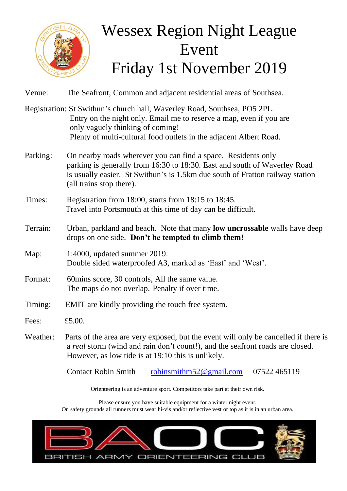

## Wessex Region Night League Event Friday 1st November 2019

| Venue:   | The Seafront, Common and adjacent residential areas of Southsea.                                                                                                                                                                                           |
|----------|------------------------------------------------------------------------------------------------------------------------------------------------------------------------------------------------------------------------------------------------------------|
|          | Registration: St Swithun's church hall, Waverley Road, Southsea, PO5 2PL.<br>Entry on the night only. Email me to reserve a map, even if you are<br>only vaguely thinking of coming!<br>Plenty of multi-cultural food outlets in the adjacent Albert Road. |
| Parking: | On nearby roads wherever you can find a space. Residents only<br>parking is generally from 16:30 to 18:30. East and south of Waverley Road<br>is usually easier. St Swithun's is 1.5km due south of Fratton railway station<br>(all trains stop there).    |
| Times:   | Registration from 18:00, starts from 18:15 to 18:45.<br>Travel into Portsmouth at this time of day can be difficult.                                                                                                                                       |
| Terrain: | Urban, parkland and beach. Note that many low uncrossable walls have deep<br>drops on one side. Don't be tempted to climb them!                                                                                                                            |
| Map:     | 1:4000, updated summer 2019.<br>Double sided waterproofed A3, marked as 'East' and 'West'.                                                                                                                                                                 |
| Format:  | 60mins score, 30 controls, All the same value.<br>The maps do not overlap. Penalty if over time.                                                                                                                                                           |
| Timing:  | EMIT are kindly providing the touch free system.                                                                                                                                                                                                           |
| Fees:    | £5.00.                                                                                                                                                                                                                                                     |
| Weather: | Parts of the area are very exposed, but the event will only be cancelled if there is<br>a real storm (wind and rain don't count!), and the seafront roads are closed.<br>However, as low tide is at 19:10 this is unlikely.                                |
|          | <b>Contact Robin Smith</b><br>robinsmithm52 $@$ gmail.com<br>07522 465119                                                                                                                                                                                  |

Orienteering is an adventure sport. Competitors take part at their own risk.

Please ensure you have suitable equipment for a winter night event. On safety grounds all runners must wear hi-vis and/or reflective vest or top as it is in an urban area.